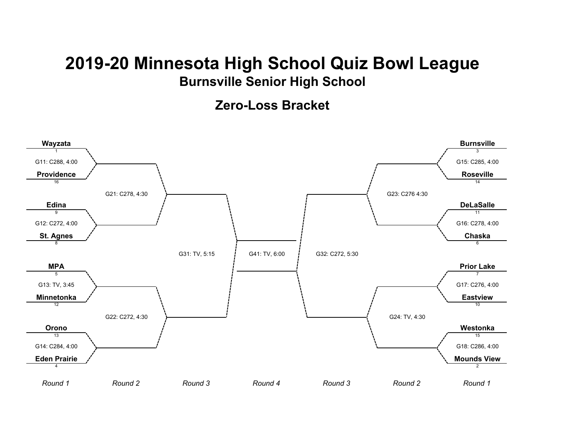## **2019-20 Minnesota High School Quiz Bowl League Burnsville Senior High School**

**Zero-Loss Bracket**